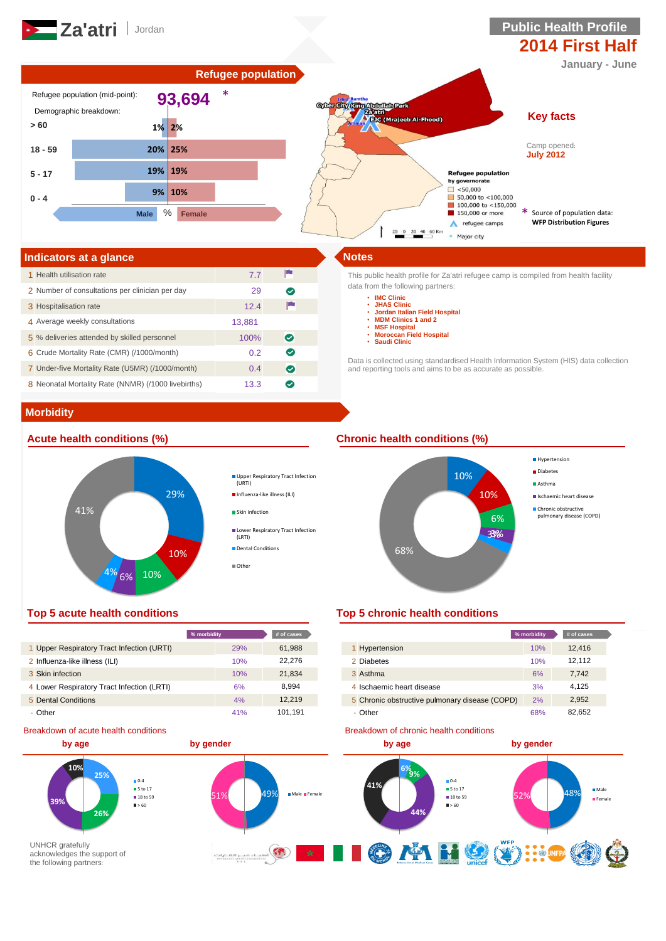

# **2014 First Half**

**January - June**



| Indicators at a glance                              |        |           |
|-----------------------------------------------------|--------|-----------|
| 1 Health utilisation rate                           | 7.7    | P         |
| 2 Number of consultations per clinician per day     | 29     | ల         |
| 3 Hospitalisation rate                              | 12.4   |           |
| 4 Average weekly consultations                      | 13.881 |           |
| 5 % deliveries attended by skilled personnel        | 100%   | $\bullet$ |
| 6 Crude Mortality Rate (CMR) (/1000/month)          | 0.2    | ☎         |
| 7 Under-five Mortality Rate (U5MR) (/1000/month)    | 0.4    | $\bullet$ |
| 8 Neonatal Mortality Rate (NNMR) (/1000 livebirths) | 13.3   | ↩         |

This public health profile for Za'atri refugee camp is compiled from health facility data from the following partners:

- **IMC Clinic**
	- **JHAS Clinic**
	- **Jordan Italian Field Hospital MDM Clinics 1 and 2 MSF Hospital**
	-
	- **Moroccan Field Hospital**
	- **Saudi Clinic**

Data is collected using standardised Health Information System (HIS) data collection and reporting tools and aims to be as accurate as possible.

# **Morbidity**



Upper Respiratory Tract Infection (URTI)

- Influenza-like illness (ILI)
- Skin infection
- **Lower Respiratory Tract Infection** (LRTI) Dental Conditions
- Other

# **Acute health conditions (%) Chronic health conditions (%)**



|                                            | % morbidity | $#$ of cases |                                                | % morbidity |
|--------------------------------------------|-------------|--------------|------------------------------------------------|-------------|
| 1 Upper Respiratory Tract Infection (URTI) | 29%         | 61,988       | Hypertension                                   | 10%         |
| 2 Influenza-like illness (ILI)             | 10%         | 22.276       | 2 Diabetes                                     | 10%         |
| 3 Skin infection                           | 10%         | 21,834       | 3 Asthma                                       | 6%          |
| 4 Lower Respiratory Tract Infection (LRTI) | 6%          | 8.994        | 4 Ischaemic heart disease                      | 3%          |
| 5 Dental Conditions                        | 4%          | 12.219       | 5 Chronic obstructive pulmonary disease (COPD) | 2%          |
| - Other                                    | 41%         | 101.191      | - Other                                        | 68%         |

### Breakdown of acute health conditions

### **by age by gender 10% 6% 9% 25%**  $0.4$ **5** to 17 51% 49% Male Female  $\blacksquare$  18 to 59 **39%**  $-60$ **44% 26%** UNHCR gratefully **OMHO**  $\underbrace{\text{dist}_1\text{dist}_2\text{dist}_3\text{dist}_4\text{dist}_4\text{dist}_4\text{dist}_4\text{dist}_4\text{dist}_4\text{dist}_4\text{dist}_4\text{dist}_4\text{dist}_4\text{dist}_4\text{dist}_4\text{dist}_4\text{dist}_4\text{dist}_4\text{dist}_4\text{dist}_4\text{dist}_4\text{dist}_4\text{dist}_4\text{dist}_4\text{dist}_4\text{dist}_4\text{dist}_4\text{dist}_4\text{dist}_4\text{dist}_4\text{dist}_4\text{dist}_4\text{dist}_4\text{dist}_4\text{dist}_4\text{dist}_4\$  $\star$ H. acknowledges the support of the following partners:

# **Top 5 acute health conditions Top 5 chronic health conditions**

| % morbidity |     | # of cases |                                                | % morbidity | # of cases |
|-------------|-----|------------|------------------------------------------------|-------------|------------|
|             | 29% | 61,988     | Hypertension                                   | 10%         | 12.416     |
|             | 10% | 22.276     | 2 Diabetes                                     | 10%         | 12,112     |
|             | 10% | 21,834     | 3 Asthma                                       | 6%          | 7,742      |
|             | 6%  | 8,994      | 4 Ischaemic heart disease                      | 3%          | 4,125      |
|             | 4%  | 12.219     | 5 Chronic obstructive pulmonary disease (COPD) | 2%          | 2,952      |
|             | 41% | 101.191    | - Other                                        | 68%         | 82,652     |

### Breakdown of chronic health conditions

 $52\%$  48% Male Female **41% 10-4 5** to 17  $\blacksquare$  18 to 59  $-60$ **by age by gender**

(V) : OF K